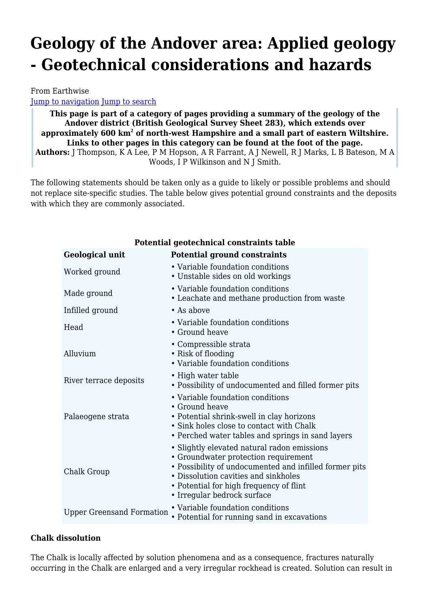# **Geology of the Andover area: Applied geology - Geotechnical considerations and hazards**

From Earthwise [Jump to navigation](#page--1-0) [Jump to search](#page--1-0)

**This page is part of a category of pages providing a summary of the geology of the Andover district (British Geological Survey Sheet 283), which extends over approximately 600 km<sup>2</sup> of north-west Hampshire and a small part of eastern Wiltshire. Links to other pages in this category can be found at the foot of the page. Authors:** J Thompson, K A Lee, P M Hopson, A R Farrant, A J Newell, R J Marks, L B Bateson, M A Woods, I P Wilkinson and N J Smith.

The following statements should be taken only as a guide to likely or possible problems and should not replace site-specific studies. The table below gives potential ground constraints and the deposits with which they are commonly associated.

| Potential geotechnical constraints table |                                                                                                                                                                                                                                                                 |
|------------------------------------------|-----------------------------------------------------------------------------------------------------------------------------------------------------------------------------------------------------------------------------------------------------------------|
| <b>Geological unit</b>                   | <b>Potential ground constraints</b>                                                                                                                                                                                                                             |
| Worked ground                            | • Variable foundation conditions<br>• Unstable sides on old workings                                                                                                                                                                                            |
| Made ground                              | • Variable foundation conditions<br>• Leachate and methane production from waste                                                                                                                                                                                |
| Infilled ground                          | $\bullet$ As above                                                                                                                                                                                                                                              |
| Head                                     | • Variable foundation conditions<br>• Ground heave                                                                                                                                                                                                              |
| Alluvium                                 | • Compressible strata<br>• Risk of flooding<br>• Variable foundation conditions                                                                                                                                                                                 |
| River terrace deposits                   | • High water table<br>• Possibility of undocumented and filled former pits                                                                                                                                                                                      |
| Palaeogene strata                        | • Variable foundation conditions<br>• Ground heave<br>• Potential shrink-swell in clay horizons<br>• Sink holes close to contact with Chalk<br>• Perched water tables and springs in sand layers                                                                |
| Chalk Group                              | • Slightly elevated natural radon emissions<br>• Groundwater protection requirement<br>• Possibility of undocumented and infilled former pits<br>• Dissolution cavities and sinkholes<br>• Potential for high frequency of flint<br>• Irregular bedrock surface |
| <b>Upper Greensand Formation</b>         | • Variable foundation conditions<br>• Potential for running sand in excavations                                                                                                                                                                                 |

#### **Chalk dissolution**

The Chalk is locally affected by solution phenomena and as a consequence, fractures naturally occurring in the Chalk are enlarged and a very irregular rockhead is created. Solution can result in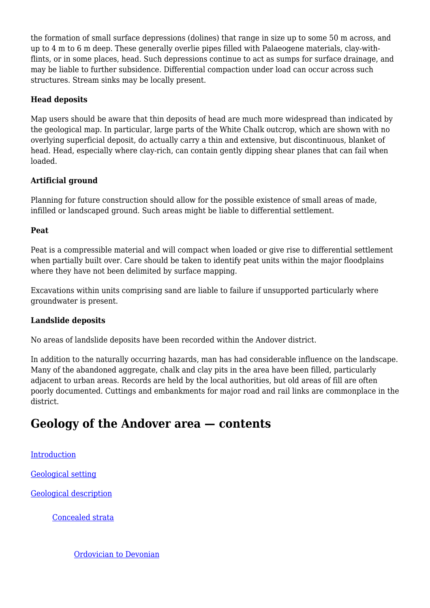the formation of small surface depressions (dolines) that range in size up to some 50 m across, and up to 4 m to 6 m deep. These generally overlie pipes filled with Palaeogene materials, clay-withflints, or in some places, head. Such depressions continue to act as sumps for surface drainage, and may be liable to further subsidence. Differential compaction under load can occur across such structures. Stream sinks may be locally present.

#### **Head deposits**

Map users should be aware that thin deposits of head are much more widespread than indicated by the geological map. In particular, large parts of the White Chalk outcrop, which are shown with no overlying superficial deposit, do actually carry a thin and extensive, but discontinuous, blanket of head. Head, especially where clay-rich, can contain gently dipping shear planes that can fail when loaded.

#### **Artificial ground**

Planning for future construction should allow for the possible existence of small areas of made, infilled or landscaped ground. Such areas might be liable to differential settlement.

#### **Peat**

Peat is a compressible material and will compact when loaded or give rise to differential settlement when partially built over. Care should be taken to identify peat units within the major floodplains where they have not been delimited by surface mapping.

Excavations within units comprising sand are liable to failure if unsupported particularly where groundwater is present.

#### **Landslide deposits**

No areas of landslide deposits have been recorded within the Andover district.

In addition to the naturally occurring hazards, man has had considerable influence on the landscape. Many of the abandoned aggregate, chalk and clay pits in the area have been filled, particularly adjacent to urban areas. Records are held by the local authorities, but old areas of fill are often poorly documented. Cuttings and embankments for major road and rail links are commonplace in the district.

# **Geology of the Andover area — contents**

#### [Introduction](http://earthwise.bgs.ac.uk/index.php/Geology_of_the_Andover_area:_Introduction)

[Geological setting](http://earthwise.bgs.ac.uk/index.php/Geology_of_the_Andover_area:_Geological_setting)

[Geological description](http://earthwise.bgs.ac.uk/index.php/Geology_of_the_Andover_area:_Concealed_strata)

[Concealed strata](http://earthwise.bgs.ac.uk/index.php/Geology_of_the_Andover_area:_Concealed_strata)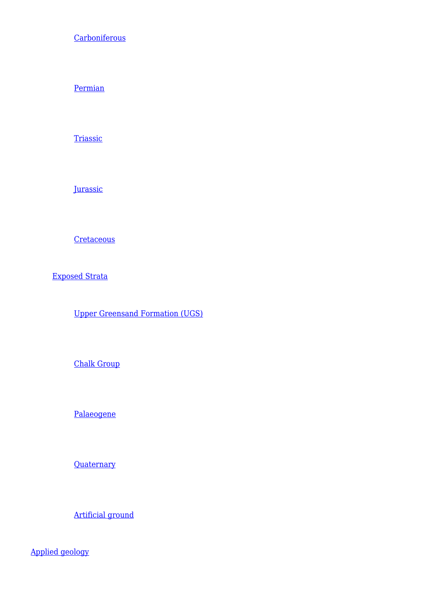**[Carboniferous](http://earthwise.bgs.ac.uk/index.php/Geology_of_the_Andover_area:_Concealed_strata_-_Carboniferous)** 

[Permian](http://earthwise.bgs.ac.uk/index.php/Geology_of_the_Andover_area:_Concealed_strata_-_Permian)

**[Triassic](http://earthwise.bgs.ac.uk/index.php/Geology_of_the_Andover_area:_Concealed_strata_-_Triassic)** 

**[Jurassic](http://earthwise.bgs.ac.uk/index.php/Geology_of_the_Andover_area:_Concealed_strata_-_Jurassic)** 

**[Cretaceous](http://earthwise.bgs.ac.uk/index.php/Geology_of_the_Andover_area:_Concealed_strata_-_Cretaceous)** 

[Exposed Strata](http://earthwise.bgs.ac.uk/index.php/Geology_of_the_Andover_area:_Exposed_strata_-_Upper_Greensand_Formation)

[Upper Greensand Formation \(UGS\)](http://earthwise.bgs.ac.uk/index.php/Geology_of_the_Andover_area:_Exposed_strata_-_Upper_Greensand_Formation)

[Chalk Group](http://earthwise.bgs.ac.uk/index.php/Geology_of_the_Andover_area:_Exposed_strata_-_Chalk_Group)

[Palaeogene](http://earthwise.bgs.ac.uk/index.php/Geology_of_the_Andover_area:_Exposed_strata_-_Palaeogene)

**[Quaternary](http://earthwise.bgs.ac.uk/index.php/Geology_of_the_Andover_area:_Exposed_strata_-_Quaternary)** 

[Artificial ground](http://earthwise.bgs.ac.uk/index.php/Geology_of_the_Andover_area:_Exposed_strata_-_Artificial_ground)

[Applied geology](http://earthwise.bgs.ac.uk/index.php/Geology_of_the_Andover_area:_Applied_geology_-_Hydrogeology)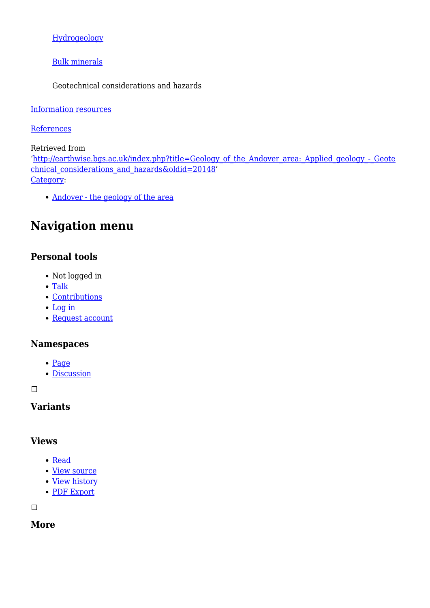#### [Hydrogeology](http://earthwise.bgs.ac.uk/index.php/Geology_of_the_Andover_area:_Applied_geology_-_Hydrogeology)

[Bulk minerals](http://earthwise.bgs.ac.uk/index.php/Geology_of_the_Andover_area:_Applied_geology_-_Bulk_minerals)

Geotechnical considerations and hazards

#### [Information resources](http://earthwise.bgs.ac.uk/index.php/Geology_of_the_Andover_area:_Information_resources)

#### **[References](http://earthwise.bgs.ac.uk/index.php/Geology_of_the_Andover_area:_References)**

Retrieved from

'[http://earthwise.bgs.ac.uk/index.php?title=Geology\\_of\\_the\\_Andover\\_area:\\_Applied\\_geology\\_-\\_Geote](http://earthwise.bgs.ac.uk/index.php?title=Geology_of_the_Andover_area:_Applied_geology_-_Geotechnical_considerations_and_hazards&oldid=20148) chnical considerations and hazards&oldid=20148' [Category](http://earthwise.bgs.ac.uk/index.php/Special:Categories):

• [Andover - the geology of the area](http://earthwise.bgs.ac.uk/index.php/Category:Andover_-_the_geology_of_the_area)

# **Navigation menu**

# **Personal tools**

- Not logged in
- [Talk](http://earthwise.bgs.ac.uk/index.php/Special:MyTalk)
- [Contributions](http://earthwise.bgs.ac.uk/index.php/Special:MyContributions)
- [Log in](http://earthwise.bgs.ac.uk/index.php?title=Special:UserLogin&returnto=Geology+of+the+Andover+area%3A+Applied+geology+-+Geotechnical+considerations+and+hazards&returntoquery=action%3Dmpdf)
- [Request account](http://earthwise.bgs.ac.uk/index.php/Special:RequestAccount)

#### **Namespaces**

- [Page](http://earthwise.bgs.ac.uk/index.php/Geology_of_the_Andover_area:_Applied_geology_-_Geotechnical_considerations_and_hazards)
- [Discussion](http://earthwise.bgs.ac.uk/index.php?title=Talk:Geology_of_the_Andover_area:_Applied_geology_-_Geotechnical_considerations_and_hazards&action=edit&redlink=1)

 $\Box$ 

## **Variants**

#### **Views**

- [Read](http://earthwise.bgs.ac.uk/index.php/Geology_of_the_Andover_area:_Applied_geology_-_Geotechnical_considerations_and_hazards)
- [View source](http://earthwise.bgs.ac.uk/index.php?title=Geology_of_the_Andover_area:_Applied_geology_-_Geotechnical_considerations_and_hazards&action=edit)
- [View history](http://earthwise.bgs.ac.uk/index.php?title=Geology_of_the_Andover_area:_Applied_geology_-_Geotechnical_considerations_and_hazards&action=history)
- [PDF Export](http://earthwise.bgs.ac.uk/index.php?title=Geology_of_the_Andover_area:_Applied_geology_-_Geotechnical_considerations_and_hazards&action=mpdf)

 $\Box$ 

## **More**